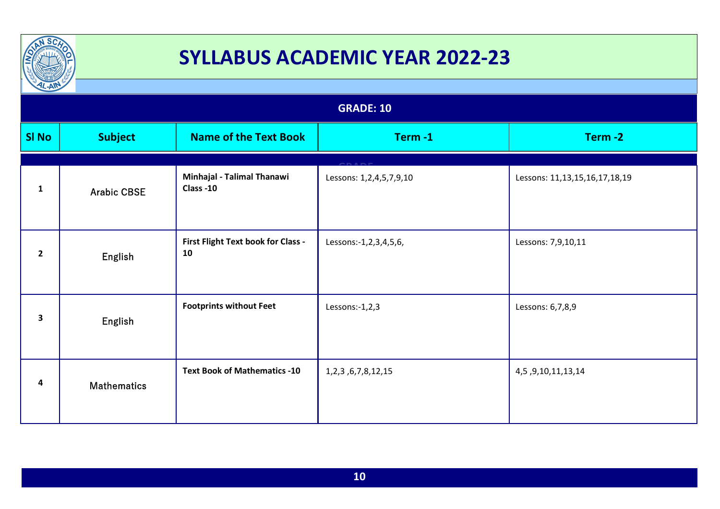

| $T_{\rm A}$  |                    |                                          |                          |                               |  |
|--------------|--------------------|------------------------------------------|--------------------------|-------------------------------|--|
|              | <b>GRADE: 10</b>   |                                          |                          |                               |  |
| <b>SI No</b> | <b>Subject</b>     | <b>Name of the Text Book</b>             | Term-1                   | Term-2                        |  |
| $\mathbf{1}$ | <b>Arabic CBSE</b> | Minhajal - Talimal Thanawi<br>Class -10  | Lessons: 1,2,4,5,7,9,10  | Lessons: 11,13,15,16,17,18,19 |  |
| $\mathbf{2}$ | English            | First Flight Text book for Class -<br>10 | Lessons:-1,2,3,4,5,6,    | Lessons: 7,9,10,11            |  |
| 3            | English            | <b>Footprints without Feet</b>           | Lessons:-1,2,3           | Lessons: 6,7,8,9              |  |
| 4            | <b>Mathematics</b> | <b>Text Book of Mathematics -10</b>      | 1, 2, 3, 6, 7, 8, 12, 15 | 4, 5, 9, 10, 11, 13, 14       |  |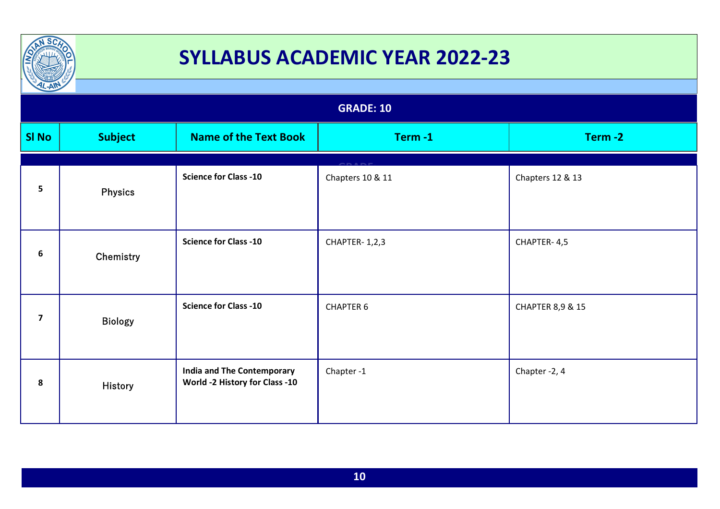

| $L-AW$<br><b>GRADE: 10</b> |                |                                                                     |                  |                             |  |
|----------------------------|----------------|---------------------------------------------------------------------|------------------|-----------------------------|--|
| <b>SI No</b>               | <b>Subject</b> | <b>Name of the Text Book</b>                                        | Term-1           | Term-2                      |  |
| 5                          | <b>Physics</b> | <b>Science for Class -10</b>                                        | Chapters 10 & 11 | Chapters 12 & 13            |  |
| 6                          | Chemistry      | <b>Science for Class -10</b>                                        | CHAPTER-1,2,3    | CHAPTER-4,5                 |  |
| $\overline{\mathbf{z}}$    | Biology        | <b>Science for Class -10</b>                                        | <b>CHAPTER 6</b> | <b>CHAPTER 8,9 &amp; 15</b> |  |
| 8                          | <b>History</b> | <b>India and The Contemporary</b><br>World -2 History for Class -10 | Chapter-1        | Chapter -2, 4               |  |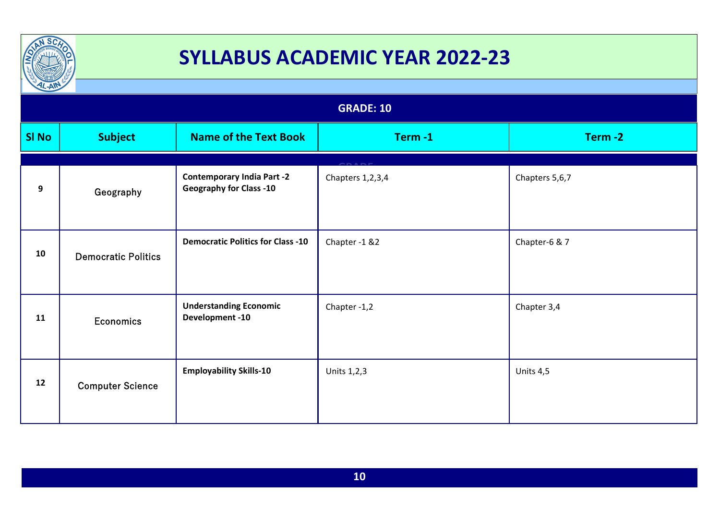

| $L-AW$           |                            |                                                                     |                  |                |  |
|------------------|----------------------------|---------------------------------------------------------------------|------------------|----------------|--|
| <b>GRADE: 10</b> |                            |                                                                     |                  |                |  |
| <b>SI No</b>     | <b>Subject</b>             | <b>Name of the Text Book</b>                                        | Term-1           | Term-2         |  |
| $\boldsymbol{9}$ | Geography                  | <b>Contemporary India Part -2</b><br><b>Geography for Class -10</b> | Chapters 1,2,3,4 | Chapters 5,6,7 |  |
| 10               | <b>Democratic Politics</b> | <b>Democratic Politics for Class -10</b>                            | Chapter -1 &2    | Chapter-6 & 7  |  |
| 11               | <b>Economics</b>           | <b>Understanding Economic</b><br><b>Development-10</b>              | Chapter -1,2     | Chapter 3,4    |  |
| 12               | <b>Computer Science</b>    | <b>Employability Skills-10</b>                                      | Units 1,2,3      | Units 4,5      |  |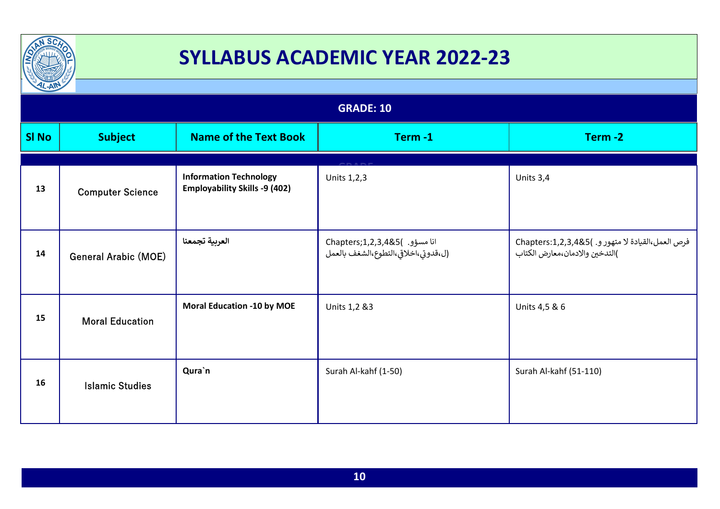

| $\frac{1}{2}$    |                             |                                                                       |                                                                      |                                                                                     |  |
|------------------|-----------------------------|-----------------------------------------------------------------------|----------------------------------------------------------------------|-------------------------------------------------------------------------------------|--|
| <b>GRADE: 10</b> |                             |                                                                       |                                                                      |                                                                                     |  |
| <b>SI No</b>     | <b>Subject</b>              | <b>Name of the Text Book</b>                                          | Term-1                                                               | Term-2                                                                              |  |
| 13               | <b>Computer Science</b>     | <b>Information Technology</b><br><b>Employability Skills -9 (402)</b> | Units 1,2,3                                                          | Units 3,4                                                                           |  |
| 14               | <b>General Arabic (MOE)</b> | العربية تجمعنا                                                        | انا مسؤو. )Chapters;1,2,3,4&5<br>(ل،قدوتي،اخلاقي،التطوع،الشغف بالعمل | فرص العمل،القيادة لا متهور و. )Chapters:1,2,3,4&5<br>)التدخين والادمان،معارض الكتاب |  |
| 15               | <b>Moral Education</b>      | <b>Moral Education -10 by MOE</b>                                     | Units 1,2 &3                                                         | Units 4,5 & 6                                                                       |  |
| 16               | <b>Islamic Studies</b>      | Qura`n                                                                | Surah Al-kahf (1-50)                                                 | Surah Al-kahf (51-110)                                                              |  |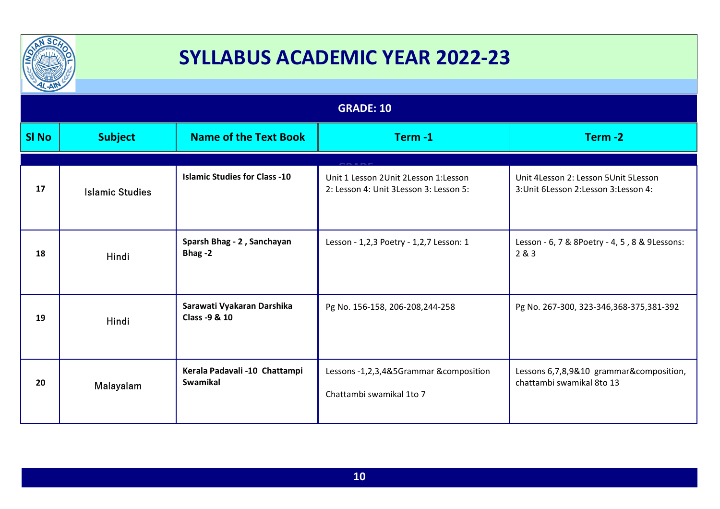

| $\mu$ -All       |                        |                                                  |                                                                                |                                                                                 |
|------------------|------------------------|--------------------------------------------------|--------------------------------------------------------------------------------|---------------------------------------------------------------------------------|
| <b>GRADE: 10</b> |                        |                                                  |                                                                                |                                                                                 |
| <b>SI No</b>     | <b>Subject</b>         | <b>Name of the Text Book</b>                     | Term-1                                                                         | Term-2                                                                          |
| 17               | <b>Islamic Studies</b> | <b>Islamic Studies for Class -10</b>             | Unit 1 Lesson 2Unit 2Lesson 1:Lesson<br>2: Lesson 4: Unit 3Lesson 3: Lesson 5: | Unit 4Lesson 2: Lesson 5Unit 5Lesson<br>3: Unit 6 Lesson 2: Lesson 3: Lesson 4: |
| 18               | Hindi                  | Sparsh Bhag - 2, Sanchayan<br>Bhag-2             | Lesson - 1,2,3 Poetry - 1,2,7 Lesson: 1                                        | Lesson - 6, 7 & 8Poetry - 4, 5, 8 & 9Lessons:<br>2&8&3                          |
| 19               | Hindi                  | Sarawati Vyakaran Darshika<br>Class -9 & 10      | Pg No. 156-158, 206-208, 244-258                                               | Pg No. 267-300, 323-346, 368-375, 381-392                                       |
| 20               | Malayalam              | Kerala Padavali -10 Chattampi<br><b>Swamikal</b> | Lessons -1,2,3,4&5Grammar &composition<br>Chattambi swamikal 1to 7             | Lessons 6,7,8,9&10 grammar&composition,<br>chattambi swamikal 8to 13            |